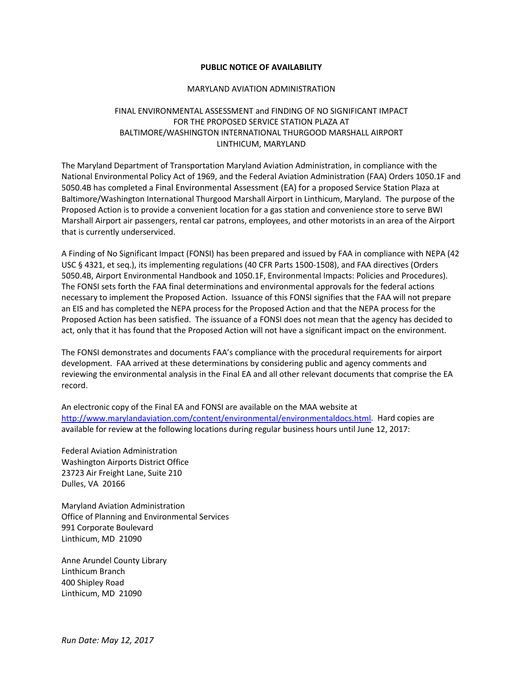## **PUBLIC NOTICE OF AVAILABILITY**

## MARYLAND AVIATION ADMINISTRATION

## FINAL ENVIRONMENTAL ASSESSMENT and FINDING OF NO SIGNIFICANT IMPACT FOR THE PROPOSED SERVICE STATION PLAZA AT BALTIMORE/WASHINGTON INTERNATIONAL THURGOOD MARSHALL AIRPORT LINTHICUM, MARYLAND

The Maryland Department of Transportation Maryland Aviation Administration, in compliance with the National Environmental Policy Act of 1969, and the Federal Aviation Administration (FAA) Orders 1050.1F and 5050.4B has completed a Final Environmental Assessment (EA) for a proposed Service Station Plaza at Baltimore/Washington International Thurgood Marshall Airport in Linthicum, Maryland. The purpose of the Proposed Action is to provide a convenient location for a gas station and convenience store to serve BWI Marshall Airport air passengers, rental car patrons, employees, and other motorists in an area of the Airport that is currently underserviced.

A Finding of No Significant Impact (FONSI) has been prepared and issued by FAA in compliance with NEPA (42 USC § 4321, et seq.), its implementing regulations (40 CFR Parts 1500-1508), and FAA directives (Orders 5050.4B, Airport Environmental Handbook and 1050.1F, Environmental Impacts: Policies and Procedures). The FONSI sets forth the FAA final determinations and environmental approvals for the federal actions necessary to implement the Proposed Action. Issuance of this FONSI signifies that the FAA will not prepare an EIS and has completed the NEPA process for the Proposed Action and that the NEPA process for the Proposed Action has been satisfied. The issuance of a FONSI does not mean that the agency has decided to act, only that it has found that the Proposed Action will not have a significant impact on the environment.

The FONSI demonstrates and documents FAA's compliance with the procedural requirements for airport development. FAA arrived at these determinations by considering public and agency comments and reviewing the environmental analysis in the Final EA and all other relevant documents that comprise the EA record.

An electronic copy of the Final EA and FONSI are available on the MAA website at [http://www.marylandaviation.com/content/environmental/environmentaldocs.html.](http://www.marylandaviation.com/content/environmental/environmentaldocs.html) Hard copies are available for review at the following locations during regular business hours until June 12, 2017:

Federal Aviation Administration Washington Airports District Office 23723 Air Freight Lane, Suite 210 Dulles, VA 20166

Maryland Aviation Administration Office of Planning and Environmental Services 991 Corporate Boulevard Linthicum, MD 21090

Anne Arundel County Library Linthicum Branch 400 Shipley Road Linthicum, MD 21090